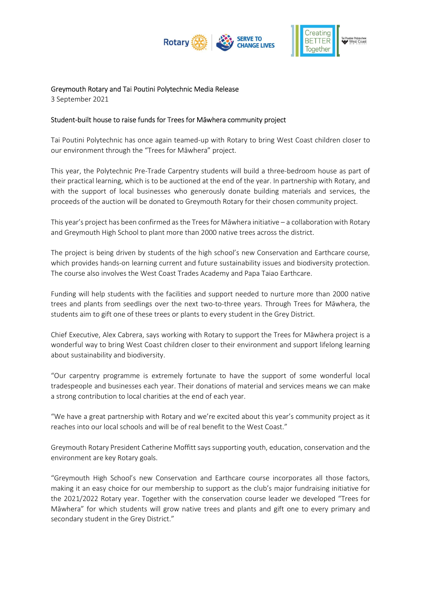



# Greymouth Rotary and Tai Poutini Polytechnic Media Release

3 September 2021

## Student-built house to raise funds for Trees for Māwhera community project

Tai Poutini Polytechnic has once again teamed-up with Rotary to bring West Coast children closer to our environment through the "Trees for Māwhera" project.

This year, the Polytechnic Pre-Trade Carpentry students will build a three-bedroom house as part of their practical learning, which is to be auctioned at the end of the year. In partnership with Rotary, and with the support of local businesses who generously donate building materials and services, the proceeds of the auction will be donated to Greymouth Rotary for their chosen community project.

This year's project has been confirmed as the Trees for Māwhera initiative – a collaboration with Rotary and Greymouth High School to plant more than 2000 native trees across the district.

The project is being driven by students of the high school's new Conservation and Earthcare course, which provides hands-on learning current and future sustainability issues and biodiversity protection. The course also involves the West Coast Trades Academy and Papa Taiao Earthcare.

Funding will help students with the facilities and support needed to nurture more than 2000 native trees and plants from seedlings over the next two-to-three years. Through Trees for Māwhera, the students aim to gift one of these trees or plants to every student in the Grey District.

Chief Executive, Alex Cabrera, says working with Rotary to support the Trees for Māwhera project is a wonderful way to bring West Coast children closer to their environment and support lifelong learning about sustainability and biodiversity.

"Our carpentry programme is extremely fortunate to have the support of some wonderful local tradespeople and businesses each year. Their donations of material and services means we can make a strong contribution to local charities at the end of each year.

"We have a great partnership with Rotary and we're excited about this year's community project as it reaches into our local schools and will be of real benefit to the West Coast."

Greymouth Rotary President Catherine Moffitt says supporting youth, education, conservation and the environment are key Rotary goals.

"Greymouth High School's new Conservation and Earthcare course incorporates all those factors, making it an easy choice for our membership to support as the club's major fundraising initiative for the 2021/2022 Rotary year. Together with the conservation course leader we developed "Trees for Māwhera" for which students will grow native trees and plants and gift one to every primary and secondary student in the Grey District."